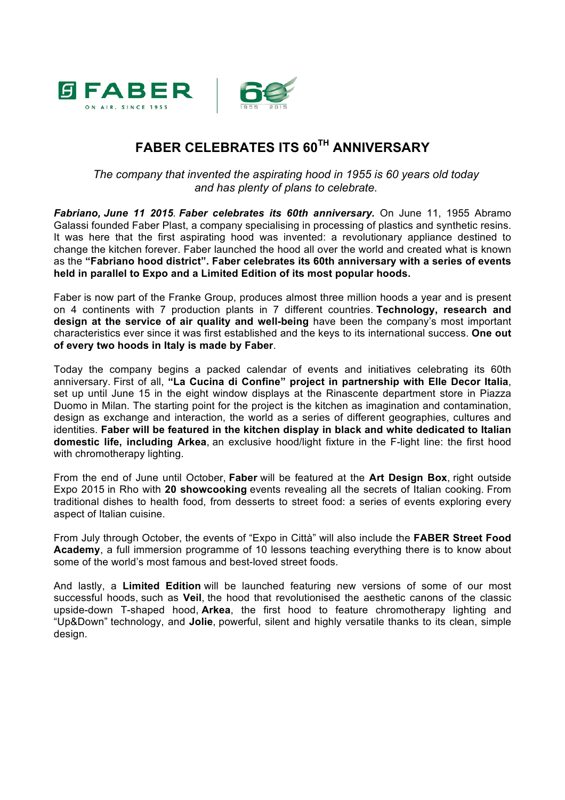

## **FABER CELEBRATES ITS 60TH ANNIVERSARY**

*The company that invented the aspirating hood in 1955 is 60 years old today and has plenty of plans to celebrate.*

*Fabriano, June 11 2015. Faber celebrates its 60th anniversary.* On June 11, 1955 Abramo Galassi founded Faber Plast, a company specialising in processing of plastics and synthetic resins. It was here that the first aspirating hood was invented: a revolutionary appliance destined to change the kitchen forever. Faber launched the hood all over the world and created what is known as the **"Fabriano hood district". Faber celebrates its 60th anniversary with a series of events held in parallel to Expo and a Limited Edition of its most popular hoods.**

Faber is now part of the Franke Group, produces almost three million hoods a year and is present on 4 continents with 7 production plants in 7 different countries. **Technology, research and design at the service of air quality and well-being** have been the company's most important characteristics ever since it was first established and the keys to its international success. **One out of every two hoods in Italy is made by Faber**.

Today the company begins a packed calendar of events and initiatives celebrating its 60th anniversary. First of all, **"La Cucina di Confine" project in partnership with Elle Decor Italia**, set up until June 15 in the eight window displays at the Rinascente department store in Piazza Duomo in Milan. The starting point for the project is the kitchen as imagination and contamination, design as exchange and interaction, the world as a series of different geographies, cultures and identities. **Faber will be featured in the kitchen display in black and white dedicated to Italian domestic life, including Arkea**, an exclusive hood/light fixture in the F-light line: the first hood with chromotherapy lighting.

From the end of June until October, **Faber** will be featured at the **Art Design Box**, right outside Expo 2015 in Rho with **20 showcooking** events revealing all the secrets of Italian cooking. From traditional dishes to health food, from desserts to street food: a series of events exploring every aspect of Italian cuisine.

From July through October, the events of "Expo in Città" will also include the **FABER Street Food Academy**, a full immersion programme of 10 lessons teaching everything there is to know about some of the world's most famous and best-loved street foods.

And lastly, a **Limited Edition** will be launched featuring new versions of some of our most successful hoods, such as **Veil**, the hood that revolutionised the aesthetic canons of the classic upside-down T-shaped hood, **Arkea**, the first hood to feature chromotherapy lighting and "Up&Down" technology, and **Jolie**, powerful, silent and highly versatile thanks to its clean, simple design.